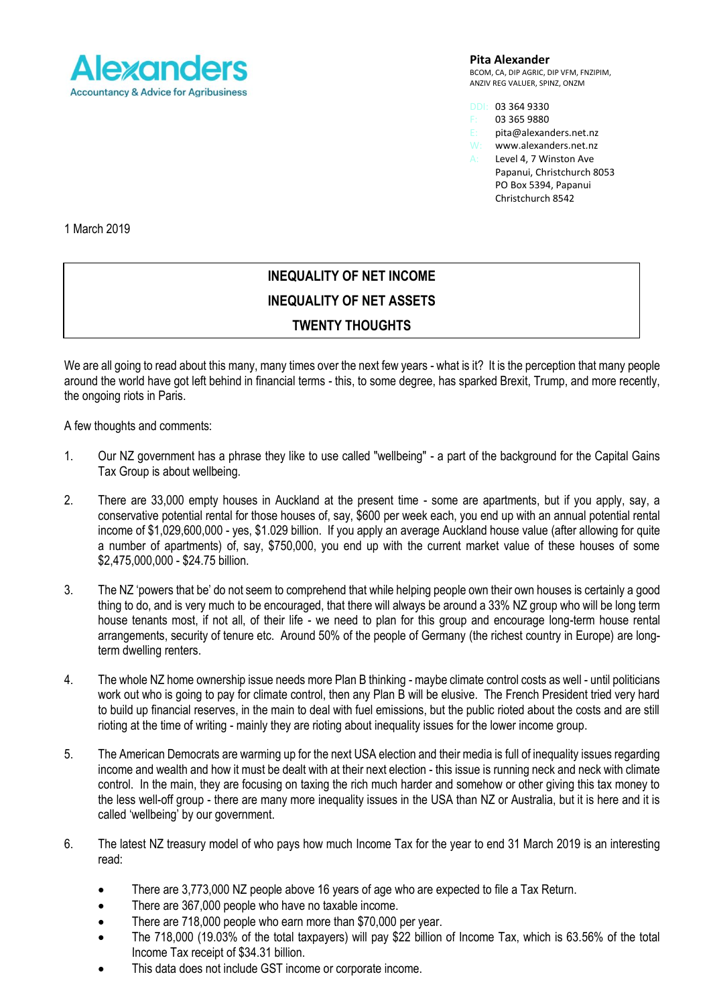

**Pita Alexander**

BCOM, CA, DIP AGRIC, DIP VFM, FNZIPIM, ANZIV REG VALUER, SPINZ, ONZM

- DDI: 03 364 9330
- 03 365 9880
- E: pita@alexanders.net.nz
- W: www.alexanders.net.nz<br>A: Level 4. 7 Winston Ave Level 4, 7 Winston Ave
- Papanui, Christchurch 8053 PO Box 5394, Papanui Christchurch 8542

1 March 2019

## **INEQUALITY OF NET INCOME INEQUALITY OF NET ASSETS TWENTY THOUGHTS**

We are all going to read about this many, many times over the next few years - what is it? It is the perception that many people around the world have got left behind in financial terms - this, to some degree, has sparked Brexit, Trump, and more recently, the ongoing riots in Paris.

A few thoughts and comments:

- 1. Our NZ government has a phrase they like to use called "wellbeing" a part of the background for the Capital Gains Tax Group is about wellbeing.
- 2. There are 33,000 empty houses in Auckland at the present time some are apartments, but if you apply, say, a conservative potential rental for those houses of, say, \$600 per week each, you end up with an annual potential rental income of \$1,029,600,000 - yes, \$1.029 billion. If you apply an average Auckland house value (after allowing for quite a number of apartments) of, say, \$750,000, you end up with the current market value of these houses of some \$2,475,000,000 - \$24.75 billion.
- 3. The NZ 'powers that be' do not seem to comprehend that while helping people own their own houses is certainly a good thing to do, and is very much to be encouraged, that there will always be around a 33% NZ group who will be long term house tenants most, if not all, of their life - we need to plan for this group and encourage long-term house rental arrangements, security of tenure etc. Around 50% of the people of Germany (the richest country in Europe) are longterm dwelling renters.
- 4. The whole NZ home ownership issue needs more Plan B thinking maybe climate control costs as well until politicians work out who is going to pay for climate control, then any Plan B will be elusive. The French President tried very hard to build up financial reserves, in the main to deal with fuel emissions, but the public rioted about the costs and are still rioting at the time of writing - mainly they are rioting about inequality issues for the lower income group.
- 5. The American Democrats are warming up for the next USA election and their media is full of inequality issues regarding income and wealth and how it must be dealt with at their next election - this issue is running neck and neck with climate control. In the main, they are focusing on taxing the rich much harder and somehow or other giving this tax money to the less well-off group - there are many more inequality issues in the USA than NZ or Australia, but it is here and it is called 'wellbeing' by our government.
- 6. The latest NZ treasury model of who pays how much Income Tax for the year to end 31 March 2019 is an interesting read:
	- There are 3,773,000 NZ people above 16 years of age who are expected to file a Tax Return.
	- There are 367,000 people who have no taxable income.
	- There are 718,000 people who earn more than \$70,000 per year.
	- The 718,000 (19.03% of the total taxpayers) will pay \$22 billion of Income Tax, which is 63.56% of the total Income Tax receipt of \$34.31 billion.
	- This data does not include GST income or corporate income.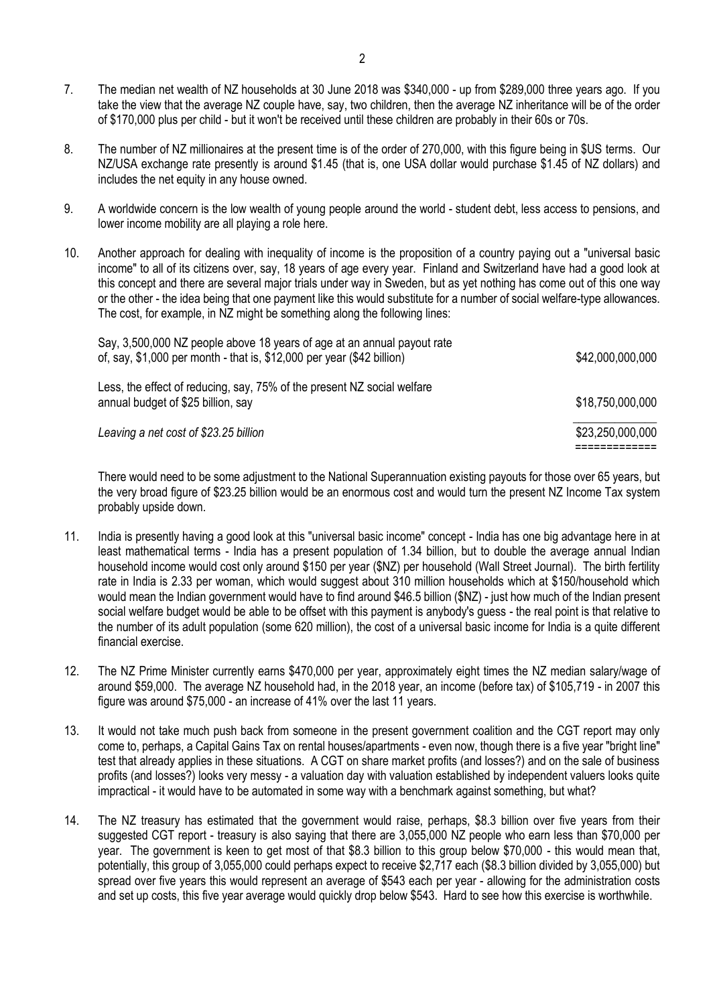- 7. The median net wealth of NZ households at 30 June 2018 was \$340,000 up from \$289,000 three years ago. If you take the view that the average NZ couple have, say, two children, then the average NZ inheritance will be of the order of \$170,000 plus per child - but it won't be received until these children are probably in their 60s or 70s.
- 8. The number of NZ millionaires at the present time is of the order of 270,000, with this figure being in \$US terms. Our NZ/USA exchange rate presently is around \$1.45 (that is, one USA dollar would purchase \$1.45 of NZ dollars) and includes the net equity in any house owned.
- 9. A worldwide concern is the low wealth of young people around the world student debt, less access to pensions, and lower income mobility are all playing a role here.
- 10. Another approach for dealing with inequality of income is the proposition of a country paying out a "universal basic income" to all of its citizens over, say, 18 years of age every year. Finland and Switzerland have had a good look at this concept and there are several major trials under way in Sweden, but as yet nothing has come out of this one way or the other - the idea being that one payment like this would substitute for a number of social welfare-type allowances. The cost, for example, in NZ might be something along the following lines:

| Leaving a net cost of \$23.25 billion                                                                                                             | \$23,250,000,000 |
|---------------------------------------------------------------------------------------------------------------------------------------------------|------------------|
| Less, the effect of reducing, say, 75% of the present NZ social welfare<br>annual budget of \$25 billion, say                                     | \$18,750,000,000 |
| Say, 3,500,000 NZ people above 18 years of age at an annual payout rate<br>of, say, \$1,000 per month - that is, \$12,000 per year (\$42 billion) | \$42,000,000,000 |

There would need to be some adjustment to the National Superannuation existing payouts for those over 65 years, but the very broad figure of \$23.25 billion would be an enormous cost and would turn the present NZ Income Tax system probably upside down.

- 11. India is presently having a good look at this "universal basic income" concept India has one big advantage here in at least mathematical terms - India has a present population of 1.34 billion, but to double the average annual Indian household income would cost only around \$150 per year (\$NZ) per household (Wall Street Journal). The birth fertility rate in India is 2.33 per woman, which would suggest about 310 million households which at \$150/household which would mean the Indian government would have to find around \$46.5 billion (\$NZ) - just how much of the Indian present social welfare budget would be able to be offset with this payment is anybody's guess - the real point is that relative to the number of its adult population (some 620 million), the cost of a universal basic income for India is a quite different financial exercise.
- 12. The NZ Prime Minister currently earns \$470,000 per year, approximately eight times the NZ median salary/wage of around \$59,000. The average NZ household had, in the 2018 year, an income (before tax) of \$105,719 - in 2007 this figure was around \$75,000 - an increase of 41% over the last 11 years.
- 13. It would not take much push back from someone in the present government coalition and the CGT report may only come to, perhaps, a Capital Gains Tax on rental houses/apartments - even now, though there is a five year "bright line" test that already applies in these situations. A CGT on share market profits (and losses?) and on the sale of business profits (and losses?) looks very messy - a valuation day with valuation established by independent valuers looks quite impractical - it would have to be automated in some way with a benchmark against something, but what?
- 14. The NZ treasury has estimated that the government would raise, perhaps, \$8.3 billion over five years from their suggested CGT report - treasury is also saying that there are 3,055,000 NZ people who earn less than \$70,000 per year. The government is keen to get most of that \$8.3 billion to this group below \$70,000 - this would mean that, potentially, this group of 3,055,000 could perhaps expect to receive \$2,717 each (\$8.3 billion divided by 3,055,000) but spread over five years this would represent an average of \$543 each per year - allowing for the administration costs and set up costs, this five year average would quickly drop below \$543. Hard to see how this exercise is worthwhile.